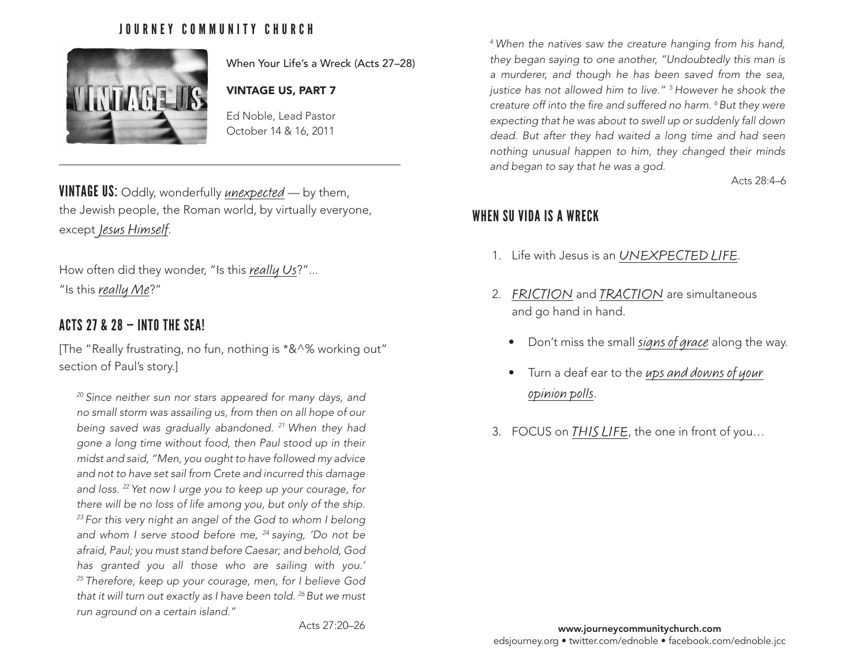## JOURNEY COMMUNITY CHURCH



When Your Life's a Wreck (Acts 27–28)

#### VINTAGE US, PART 7

Ed Noble, Lead Pastor October 14 & 16, 2011

**VINTAGE US:** Oddly, wonderfully *unexpected* — by them, the Jewish people, the Roman world, by virtually everyone, except Jesus Himself.

How often did they wonder, "Is this really Us?"... "Is this really Me?"

### ACTS 27 & 28 — INTO THE SEA!

[The "Really frustrating, no fun, nothing is \*&^% working out" section of Paul's story.]

*20 Since neither sun nor stars appeared for many days, and no small storm was assailing us, from then on all hope of our being saved was gradually abandoned. 21 When they had gone a long time without food, then Paul stood up in their midst and said, "Men, you ought to have followed my advice and not to have set sail from Crete and incurred this damage and loss. 22 Yet now I urge you to keep up your courage, for there will be no loss of life among you, but only of the ship. 23 For this very night an angel of the God to whom I belong and whom I serve stood before me, 24 saying, 'Do not be afraid, Paul; you must stand before Caesar; and behold, God has granted you all those who are sailing with you.' 25 Therefore, keep up your courage, men, for I believe God that it will turn out exactly as I have been told. 26 But we must run aground on a certain island."*

*4 When the natives saw the creature hanging from his hand, they began saying to one another, "Undoubtedly this man is a murderer, and though he has been saved from the sea, justice has not allowed him to live." 5 However he shook the creature off into the fire and suffered no harm. 6 But they were expecting that he was about to swell up or suddenly fall down dead. But after they had waited a long time and had seen nothing unusual happen to him, they changed their minds and began to say that he was a god.*

Acts 28:4–6

### WHEN SU VIDA IS A WRECK

- 1. Life with Jesus is an UNEXPECTED LIFE.
- 2. FRICTION and TRACTION are simultaneous and go hand in hand.
	- Don't miss the small signs of grace along the way.
	- Turn a deaf ear to the ups and downs of your opinion polls.
- 3. FOCUS on THIS LIFE, the one in front of you...